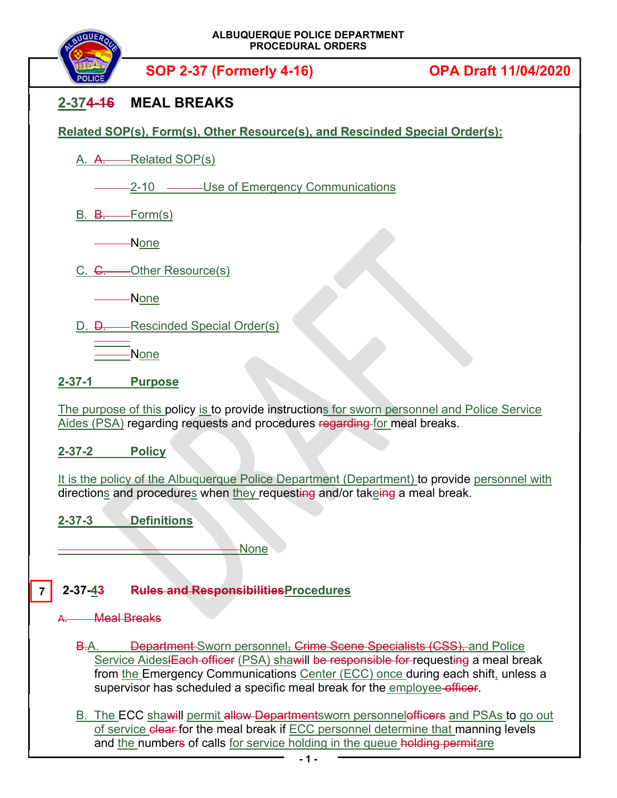

**SOP 2-37 (Formerly 4-16) OPA Draft 11/04/2020**

## **2-374-16 MEAL BREAKS**

**Related SOP(s), Form(s), Other Resource(s), and Rescinded Special Order(s):** 

A. A. Related SOP(s)

2-10 ——Use of Emergency Communications

 $B. \quad B. \quad$  Form(s)

None

C. C. - - - - Other Resource(s)

None

D. D. Rescinded Special Order(s)

None

**2-37-1 Purpose** 

The purpose of this policy is to provide instructions for sworn personnel and Police Service Aides (PSA) regarding requests and procedures regarding for meal breaks.

**2-37-2 Policy** 

It is the policy of the Albuquerque Police Department (Department) to provide personnel with directions and procedures when they requesting and/or takeing a meal break.

**2-37-3 Definitions** 

None

## **2-37-43 Rules and ResponsibilitiesProcedures 7**

**Meal Breaks** 

B.A. Department Sworn personnel, Crime Scene Specialists (CSS), and Police Service AideslEach officer (PSA) shawill be responsible for requesting a meal break from the Emergency Communications Center (ECC) once during each shift, unless a supervisor has scheduled a specific meal break for the employee officer.

B. The ECC shawill permit allow Departmentsworn personnelofficers and PSAs to go out of service clear for the meal break if ECC personnel determine that manning levels and the numbers of calls for service holding in the queue holding permitare